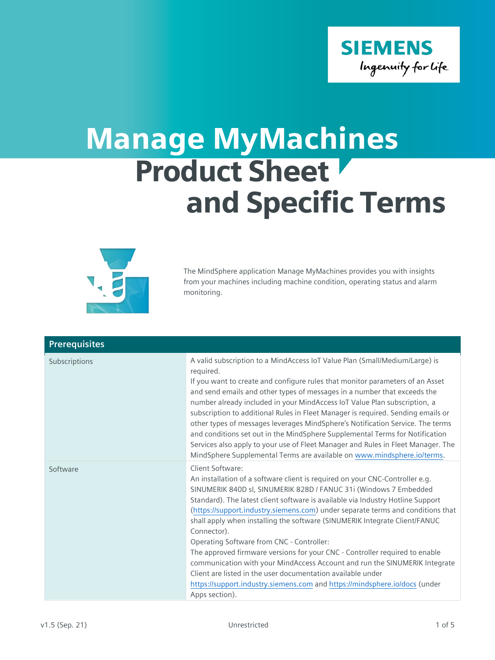

## Manage MyMachines Product Sheet and Specific Terms



The MindSphere application Manage MyMachines provides you with insights from your machines including machine condition, operating status and alarm monitoring.

| <b>Prerequisites</b> |                                                                                                                                                                                                                                                                                                                                                                                                                                                                                                                                                                                                                                                                                                                                                                                                                   |
|----------------------|-------------------------------------------------------------------------------------------------------------------------------------------------------------------------------------------------------------------------------------------------------------------------------------------------------------------------------------------------------------------------------------------------------------------------------------------------------------------------------------------------------------------------------------------------------------------------------------------------------------------------------------------------------------------------------------------------------------------------------------------------------------------------------------------------------------------|
| Subscriptions        | A valid subscription to a MindAccess IoT Value Plan (Small/Medium/Large) is<br>required.<br>If you want to create and configure rules that monitor parameters of an Asset<br>and send emails and other types of messages in a number that exceeds the<br>number already included in your MindAccess IoT Value Plan subscription, a<br>subscription to additional Rules in Fleet Manager is required. Sending emails or<br>other types of messages leverages MindSphere's Notification Service. The terms<br>and conditions set out in the MindSphere Supplemental Terms for Notification<br>Services also apply to your use of Fleet Manager and Rules in Fleet Manager. The<br>MindSphere Supplemental Terms are available on www.mindsphere.io/terms.                                                           |
| Software             | Client Software:<br>An installation of a software client is required on your CNC-Controller e.g.<br>SINUMERIK 840D sl, SINUMERIK 828D / FANUC 31i (Windows 7 Embedded<br>Standard). The latest client software is available via Industry Hotline Support<br>(https://support.industry.siemens.com) under separate terms and conditions that<br>shall apply when installing the software (SINUMERIK Integrate Client/FANUC<br>Connector).<br>Operating Software from CNC - Controller:<br>The approved firmware versions for your CNC - Controller required to enable<br>communication with your MindAccess Account and run the SINUMERIK Integrate<br>Client are listed in the user documentation available under<br>https://support.industry.siemens.com and https://mindsphere.io/docs (under<br>Apps section). |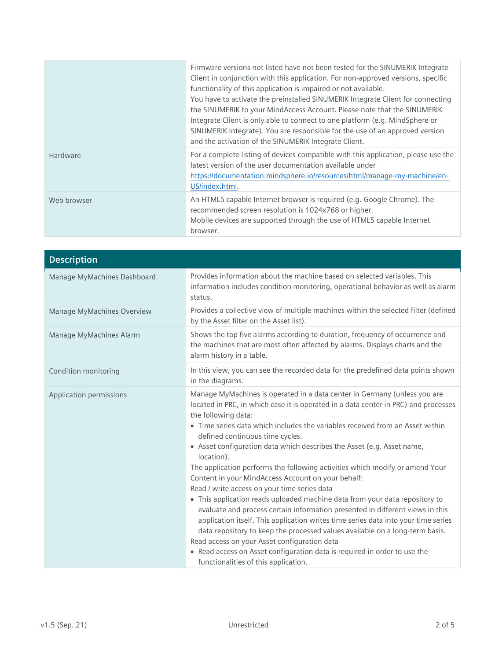|             | Firmware versions not listed have not been tested for the SINUMERIK Integrate<br>Client in conjunction with this application. For non-approved versions, specific<br>functionality of this application is impaired or not available.<br>You have to activate the preinstalled SINUMERIK Integrate Client for connecting<br>the SINUMERIK to your MindAccess Account. Please note that the SINUMERIK<br>Integrate Client is only able to connect to one platform (e.g. MindSphere or<br>SINUMERIK Integrate). You are responsible for the use of an approved version<br>and the activation of the SINUMERIK Integrate Client. |
|-------------|------------------------------------------------------------------------------------------------------------------------------------------------------------------------------------------------------------------------------------------------------------------------------------------------------------------------------------------------------------------------------------------------------------------------------------------------------------------------------------------------------------------------------------------------------------------------------------------------------------------------------|
| Hardware    | For a complete listing of devices compatible with this application, please use the<br>latest version of the user documentation available under<br>https://documentation.mindsphere.io/resources/html/manage-my-machine/en-<br>US/index.html.                                                                                                                                                                                                                                                                                                                                                                                 |
| Web browser | An HTML5 capable Internet browser is required (e.g. Google Chrome). The<br>recommended screen resolution is 1024x768 or higher.<br>Mobile devices are supported through the use of HTML5 capable Internet<br>browser.                                                                                                                                                                                                                                                                                                                                                                                                        |

| <b>Description</b>          |                                                                                                                                                                                                                                                                                                                                                                                                                                                                                                                                                                                                                                                                                                                                                                                                                                                                                                                                                                                                                                                                                                      |
|-----------------------------|------------------------------------------------------------------------------------------------------------------------------------------------------------------------------------------------------------------------------------------------------------------------------------------------------------------------------------------------------------------------------------------------------------------------------------------------------------------------------------------------------------------------------------------------------------------------------------------------------------------------------------------------------------------------------------------------------------------------------------------------------------------------------------------------------------------------------------------------------------------------------------------------------------------------------------------------------------------------------------------------------------------------------------------------------------------------------------------------------|
| Manage MyMachines Dashboard | Provides information about the machine based on selected variables. This<br>information includes condition monitoring, operational behavior as well as alarm<br>status.                                                                                                                                                                                                                                                                                                                                                                                                                                                                                                                                                                                                                                                                                                                                                                                                                                                                                                                              |
| Manage MyMachines Overview  | Provides a collective view of multiple machines within the selected filter (defined<br>by the Asset filter on the Asset list).                                                                                                                                                                                                                                                                                                                                                                                                                                                                                                                                                                                                                                                                                                                                                                                                                                                                                                                                                                       |
| Manage MyMachines Alarm     | Shows the top five alarms according to duration, frequency of occurrence and<br>the machines that are most often affected by alarms. Displays charts and the<br>alarm history in a table.                                                                                                                                                                                                                                                                                                                                                                                                                                                                                                                                                                                                                                                                                                                                                                                                                                                                                                            |
| Condition monitoring        | In this view, you can see the recorded data for the predefined data points shown<br>in the diagrams.                                                                                                                                                                                                                                                                                                                                                                                                                                                                                                                                                                                                                                                                                                                                                                                                                                                                                                                                                                                                 |
| Application permissions     | Manage MyMachines is operated in a data center in Germany (unless you are<br>located in PRC, in which case it is operated in a data center in PRC) and processes<br>the following data:<br>• Time series data which includes the variables received from an Asset within<br>defined continuous time cycles.<br>• Asset configuration data which describes the Asset (e.g. Asset name,<br>location).<br>The application performs the following activities which modify or amend Your<br>Content in your MindAccess Account on your behalf:<br>Read / write access on your time series data<br>• This application reads uploaded machine data from your data repository to<br>evaluate and process certain information presented in different views in this<br>application itself. This application writes time series data into your time series<br>data repository to keep the processed values available on a long-term basis.<br>Read access on your Asset configuration data<br>• Read access on Asset configuration data is required in order to use the<br>functionalities of this application. |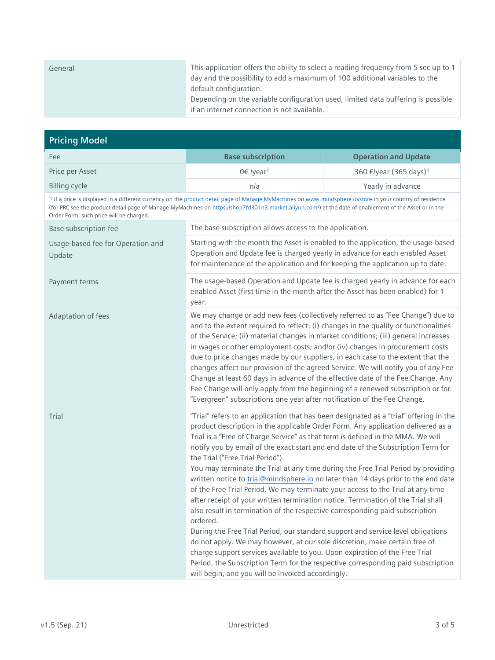| General | This application offers the ability to select a reading frequency from 5 sec up to 1<br>day and the possibility to add a maximum of 100 additional variables to the<br>default configuration. |
|---------|-----------------------------------------------------------------------------------------------------------------------------------------------------------------------------------------------|
|         | Depending on the variable configuration used, limited data buffering is possible<br>if an internet connection is not available.                                                               |

| <b>Pricing Model</b>                                                                                                                                                                                                                                                                                                                                                       |                                                                                                                                                                                                                                                                                                                                                                                                                                                                                                                                                                                                                                                                                                                                                                                                                                                                                                                                                                                                                                                                                                                                                                                                                              |                                    |
|----------------------------------------------------------------------------------------------------------------------------------------------------------------------------------------------------------------------------------------------------------------------------------------------------------------------------------------------------------------------------|------------------------------------------------------------------------------------------------------------------------------------------------------------------------------------------------------------------------------------------------------------------------------------------------------------------------------------------------------------------------------------------------------------------------------------------------------------------------------------------------------------------------------------------------------------------------------------------------------------------------------------------------------------------------------------------------------------------------------------------------------------------------------------------------------------------------------------------------------------------------------------------------------------------------------------------------------------------------------------------------------------------------------------------------------------------------------------------------------------------------------------------------------------------------------------------------------------------------------|------------------------------------|
| Fee                                                                                                                                                                                                                                                                                                                                                                        | <b>Base subscription</b>                                                                                                                                                                                                                                                                                                                                                                                                                                                                                                                                                                                                                                                                                                                                                                                                                                                                                                                                                                                                                                                                                                                                                                                                     | <b>Operation and Update</b>        |
| Price per Asset                                                                                                                                                                                                                                                                                                                                                            | 0€ /year <sup>1</sup>                                                                                                                                                                                                                                                                                                                                                                                                                                                                                                                                                                                                                                                                                                                                                                                                                                                                                                                                                                                                                                                                                                                                                                                                        | 360 €/year (365 days) <sup>1</sup> |
| <b>Billing cycle</b>                                                                                                                                                                                                                                                                                                                                                       | n/a                                                                                                                                                                                                                                                                                                                                                                                                                                                                                                                                                                                                                                                                                                                                                                                                                                                                                                                                                                                                                                                                                                                                                                                                                          | Yearly in advance                  |
| <sup>1)</sup> If a price is displayed in a different currency on the product detail page of Manage MyMachines on www.mindsphere.io/store in your country of residence<br>(for PRC see the product detail page of Manage MyMachines on https://shop7fd301n3.market.aliyun.com/) at the date of enablement of the Asset or in the<br>Order Form, such price will be charged. |                                                                                                                                                                                                                                                                                                                                                                                                                                                                                                                                                                                                                                                                                                                                                                                                                                                                                                                                                                                                                                                                                                                                                                                                                              |                                    |
| Base subscription fee                                                                                                                                                                                                                                                                                                                                                      | The base subscription allows access to the application.                                                                                                                                                                                                                                                                                                                                                                                                                                                                                                                                                                                                                                                                                                                                                                                                                                                                                                                                                                                                                                                                                                                                                                      |                                    |
| Usage-based fee for Operation and<br>Update                                                                                                                                                                                                                                                                                                                                | Starting with the month the Asset is enabled to the application, the usage-based<br>Operation and Update fee is charged yearly in advance for each enabled Asset<br>for maintenance of the application and for keeping the application up to date.                                                                                                                                                                                                                                                                                                                                                                                                                                                                                                                                                                                                                                                                                                                                                                                                                                                                                                                                                                           |                                    |
| Payment terms                                                                                                                                                                                                                                                                                                                                                              | The usage-based Operation and Update fee is charged yearly in advance for each<br>enabled Asset (first time in the month after the Asset has been enabled) for 1<br>year.                                                                                                                                                                                                                                                                                                                                                                                                                                                                                                                                                                                                                                                                                                                                                                                                                                                                                                                                                                                                                                                    |                                    |
| Adaptation of fees                                                                                                                                                                                                                                                                                                                                                         | We may change or add new fees (collectively referred to as "Fee Change") due to<br>and to the extent required to reflect: (i) changes in the quality or functionalities<br>of the Service; (ii) material changes in market conditions; (iii) general increases<br>in wages or other employment costs; and/or (iv) changes in procurement costs<br>due to price changes made by our suppliers, in each case to the extent that the<br>changes affect our provision of the agreed Service. We will notify you of any Fee<br>Change at least 60 days in advance of the effective date of the Fee Change. Any<br>Fee Change will only apply from the beginning of a renewed subscription or for<br>"Evergreen" subscriptions one year after notification of the Fee Change.                                                                                                                                                                                                                                                                                                                                                                                                                                                      |                                    |
| Trial                                                                                                                                                                                                                                                                                                                                                                      | "Trial" refers to an application that has been designated as a "trial" offering in the<br>product description in the applicable Order Form. Any application delivered as a<br>Trial is a "Free of Charge Service" as that term is defined in the MMA. We will<br>notify you by email of the exact start and end date of the Subscription Term for<br>the Trial ("Free Trial Period").<br>You may terminate the Trial at any time during the Free Trial Period by providing<br>written notice to trial@mindsphere.io no later than 14 days prior to the end date<br>of the Free Trial Period. We may terminate your access to the Trial at any time<br>after receipt of your written termination notice. Termination of the Trial shall<br>also result in termination of the respective corresponding paid subscription<br>ordered.<br>During the Free Trial Period, our standard support and service level obligations<br>do not apply. We may however, at our sole discretion, make certain free of<br>charge support services available to you. Upon expiration of the Free Trial<br>Period, the Subscription Term for the respective corresponding paid subscription<br>will begin, and you will be invoiced accordingly. |                                    |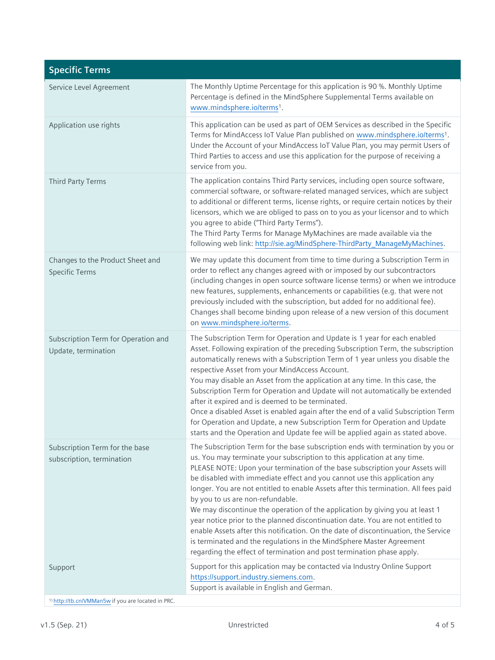| <b>Specific Terms</b>                                         |                                                                                                                                                                                                                                                                                                                                                                                                                                                                                                                                                                                                                                                                                                                                                                                                                                                              |
|---------------------------------------------------------------|--------------------------------------------------------------------------------------------------------------------------------------------------------------------------------------------------------------------------------------------------------------------------------------------------------------------------------------------------------------------------------------------------------------------------------------------------------------------------------------------------------------------------------------------------------------------------------------------------------------------------------------------------------------------------------------------------------------------------------------------------------------------------------------------------------------------------------------------------------------|
| Service Level Agreement                                       | The Monthly Uptime Percentage for this application is 90 %. Monthly Uptime<br>Percentage is defined in the MindSphere Supplemental Terms available on<br>www.mindsphere.io/terms <sup>1</sup> .                                                                                                                                                                                                                                                                                                                                                                                                                                                                                                                                                                                                                                                              |
| Application use rights                                        | This application can be used as part of OEM Services as described in the Specific<br>Terms for MindAccess IoT Value Plan published on www.mindsphere.io/terms <sup>1</sup> .<br>Under the Account of your MindAccess IoT Value Plan, you may permit Users of<br>Third Parties to access and use this application for the purpose of receiving a<br>service from you.                                                                                                                                                                                                                                                                                                                                                                                                                                                                                         |
| Third Party Terms                                             | The application contains Third Party services, including open source software,<br>commercial software, or software-related managed services, which are subject<br>to additional or different terms, license rights, or require certain notices by their<br>licensors, which we are obliged to pass on to you as your licensor and to which<br>you agree to abide ("Third Party Terms").<br>The Third Party Terms for Manage MyMachines are made available via the<br>following web link: http://sie.ag/MindSphere-ThirdParty_ManageMyMachines.                                                                                                                                                                                                                                                                                                               |
| Changes to the Product Sheet and<br><b>Specific Terms</b>     | We may update this document from time to time during a Subscription Term in<br>order to reflect any changes agreed with or imposed by our subcontractors<br>(including changes in open source software license terms) or when we introduce<br>new features, supplements, enhancements or capabilities (e.g. that were not<br>previously included with the subscription, but added for no additional fee).<br>Changes shall become binding upon release of a new version of this document<br>on www.mindsphere.io/terms.                                                                                                                                                                                                                                                                                                                                      |
| Subscription Term for Operation and<br>Update, termination    | The Subscription Term for Operation and Update is 1 year for each enabled<br>Asset. Following expiration of the preceding Subscription Term, the subscription<br>automatically renews with a Subscription Term of 1 year unless you disable the<br>respective Asset from your MindAccess Account.<br>You may disable an Asset from the application at any time. In this case, the<br>Subscription Term for Operation and Update will not automatically be extended<br>after it expired and is deemed to be terminated.<br>Once a disabled Asset is enabled again after the end of a valid Subscription Term<br>for Operation and Update, a new Subscription Term for Operation and Update<br>starts and the Operation and Update fee will be applied again as stated above.                                                                                  |
| Subscription Term for the base<br>subscription, termination   | The Subscription Term for the base subscription ends with termination by you or<br>us. You may terminate your subscription to this application at any time.<br>PLEASE NOTE: Upon your termination of the base subscription your Assets will<br>be disabled with immediate effect and you cannot use this application any<br>longer. You are not entitled to enable Assets after this termination. All fees paid<br>by you to us are non-refundable.<br>We may discontinue the operation of the application by giving you at least 1<br>year notice prior to the planned discontinuation date. You are not entitled to<br>enable Assets after this notification. On the date of discontinuation, the Service<br>is terminated and the regulations in the MindSphere Master Agreement<br>regarding the effect of termination and post termination phase apply. |
| Support                                                       | Support for this application may be contacted via Industry Online Support<br>https://support.industry.siemens.com.<br>Support is available in English and German.                                                                                                                                                                                                                                                                                                                                                                                                                                                                                                                                                                                                                                                                                            |
| <sup>1)</sup> http://tb.cn/VMMan5w if you are located in PRC. |                                                                                                                                                                                                                                                                                                                                                                                                                                                                                                                                                                                                                                                                                                                                                                                                                                                              |